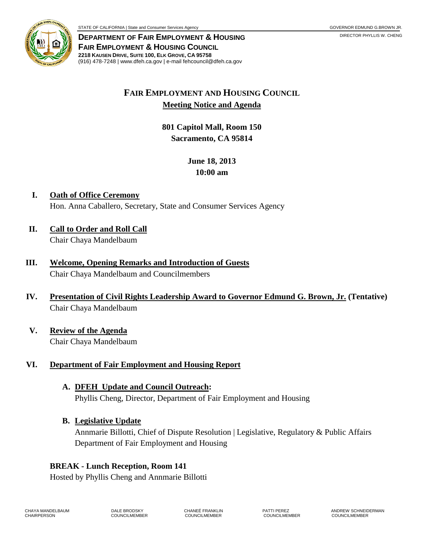

**DEPARTMENT OF FAIR EMPLOYMENT & HOUSING FAIR EMPLOYMENT & HOUSING COUNCIL 2218 KAUSEN DRIVE, SUITE 100, ELK GROVE, CA 95758** (916) 478-7248 | www.dfeh.ca.gov | e-mail fehcouncil@dfeh.ca.gov

# **FAIR EMPLOYMENT AND HOUSING COUNCIL Meeting Notice and Agenda**

**801 Capitol Mall, Room 150 Sacramento, CA 95814** 

# **June 18, 2013 10:00 am**

- **I. Oath of Office Ceremony** Hon. Anna Caballero, Secretary, State and Consumer Services Agency
- **II. Call to Order and Roll Call** Chair Chaya Mandelbaum
- **III. Welcome, Opening Remarks and Introduction of Guests** Chair Chaya Mandelbaum and Councilmembers
- **IV. Presentation of Civil Rights Leadership Award to Governor Edmund G. Brown, Jr. (Tentative)** Chair Chaya Mandelbaum
- **V. Review of the Agenda** Chair Chaya Mandelbaum

# **VI. Department of Fair Employment and Housing Report**

- **A. DFEH Update and Council Outreach:** Phyllis Cheng, Director, Department of Fair Employment and Housing
- **B. Legislative Update**

Annmarie Billotti, Chief of Dispute Resolution | Legislative, Regulatory & Public Affairs Department of Fair Employment and Housing

# **BREAK - Lunch Reception, Room 141**

Hosted by Phyllis Cheng and Annmarie Billotti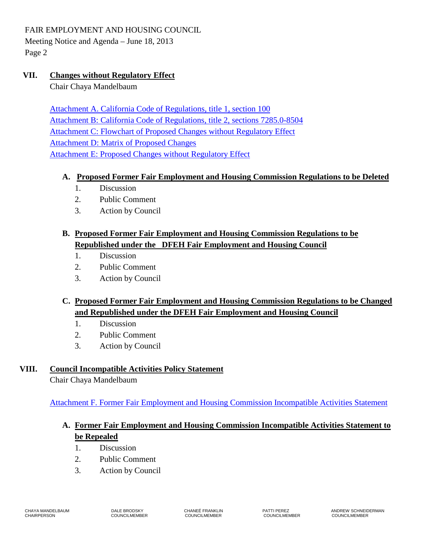FAIR EMPLOYMENT AND HOUSING COUNCIL

Meeting Notice and Agenda – June 18, 2013 Page 2

### **VII. Changes without Regulatory Effect**

Chair Chaya Mandelbaum

[Attachment A. California Code of Regulations, title 1, section 100](/wp-content/uploads/sites/32/2017/06/ATTACHA-2013Jun18.pdf) [Attachment B: California Code of Regulations, title 2, sections 7285.0-8504](/wp-content/uploads/sites/32/2017/06/ATTACHB-2013Jun18.pdf) Attachment C: Flowchart [of Proposed Changes without Regulatory Effect](/wp-content/uploads/sites/32/2017/06/ATTACHC-2013Jun18.pdf) [Attachment D: Matrix](/wp-content/uploads/sites/32/2017/06/ATTACHD-2013Jun18.pdf) of Proposed Changes [Attachment E: Proposed Changes](/wp-content/uploads/sites/32/2017/06/ATTACHE-2013Jun18.pdf) without Regulatory Effect

### **A. Proposed Former Fair Employment and Housing Commission Regulations to be Deleted**

- 1. Discussion
- 2. Public Comment
- 3. Action by Council

# **B. Proposed Former Fair Employment and Housing Commission Regulations to be Republished under the DFEH Fair Employment and Housing Council**

- 1. Discussion
- 2. Public Comment
- 3. Action by Council

# **C. Proposed Former Fair Employment and Housing Commission Regulations to be Changed and Republished under the DFEH Fair Employment and Housing Council**

- 1. Discussion
- 2. Public Comment
- 3. Action by Council

### **VIII. Council Incompatible Activities Policy Statement**

Chair Chaya Mandelbaum

[Attachment F. Former Fair Employment and Housing Commission Incompatible Activities](/wp-content/uploads/sites/32/2017/06/ATTACHF-2013Jun18.pdf) Statement

# **A. Former Fair Employment and Housing Commission Incompatible Activities Statement to be Repealed**

- 1. Discussion
- 2. Public Comment
- 3. Action by Council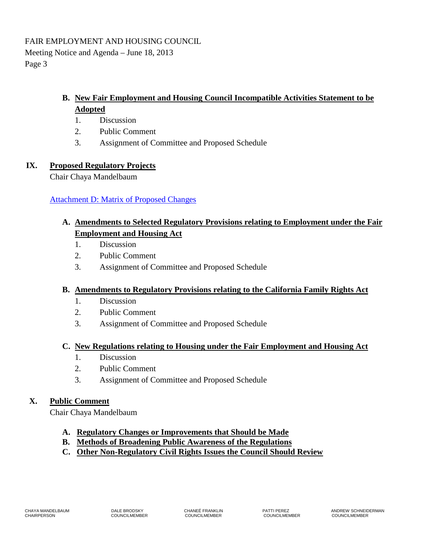### **B. New Fair Employment and Housing Council Incompatible Activities Statement to be Adopted**

- 1. Discussion
- 2. Public Comment
- 3. Assignment of Committee and Proposed Schedule

#### **IX. Proposed Regulatory Projects**

Chair Chaya Mandelbaum

### **[Attachment D: Matrix of Proposed Changes](/wp-content/uploads/sites/32/2017/06/ATTACHD-2013Jun18.pdf)**

# **A. Amendments to Selected Regulatory Provisions relating to Employment under the Fair Employment and Housing Act**

- 1. Discussion
- 2. Public Comment
- 3. Assignment of Committee and Proposed Schedule

#### **B. Amendments to Regulatory Provisions relating to the California Family Rights Act**

- 1. Discussion
- 2. Public Comment
- 3. Assignment of Committee and Proposed Schedule

#### **C. New Regulations relating to Housing under the Fair Employment and Housing Act**

- 1. Discussion
- 2. Public Comment
- 3. Assignment of Committee and Proposed Schedule

### **X. Public Comment**

Chair Chaya Mandelbaum

- **A. Regulatory Changes or Improvements that Should be Made**
- **B. Methods of Broadening Public Awareness of the Regulations**
- **C. Other Non-Regulatory Civil Rights Issues the Council Should Review**